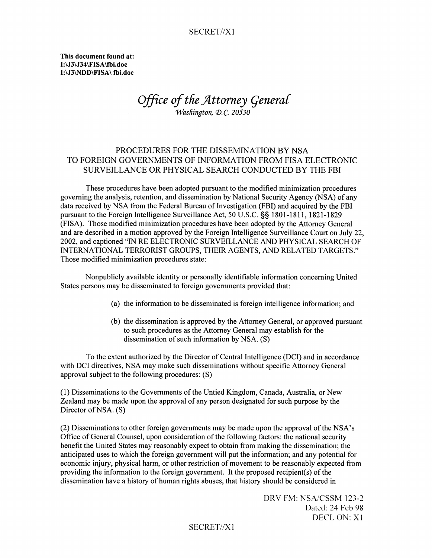This document found at: I:\J3\J34\FISA \fbi.doc I:\J3\NDD\FISA \ fbi. doc

# *Office of the Attorney General Wasliington,* CJ). C. *20530*

## PROCEDURES FOR THE DISSEMINATION BY NSA TO FOREIGN GOVERNMENTS OF INFORMATION FROM FISA ELECTRONIC SURVEILLANCE OR PHYSICAL SEARCH CONDUCTED BY THE FBI

These procedures have been adopted pursuant to the modified minimization procedures governing the analysis, retention, and dissemination by National Security Agency (NSA) of any data received by NSA from the Federal Bureau of Investigation (FBI) and acquired by the FBI pursuant to the Foreign Intelligence Surveillance Act, 50 U.S.C. §§ 1801-1811, 1821-1829 (FISA). Those modified minimization procedures have been adopted by the Attorney General and are described in a motion approved by the Foreign Intelligence Surveillance Court on July 22, 2002, and captioned "IN RE ELECTRONIC SURVEILLANCE AND PHYSICAL SEARCH OF INTERNATIONAL TERRORIST GROUPS, THEIR AGENTS, AND RELATED TARGETS." Those modified minimization procedures state:

Nonpublicly available identity or personally identifiable information concerning United States persons may be disseminated to foreign governments provided that:

- (a) the information to be disseminated is foreign intelligence information; and
- (b) the dissemination is approved by the Attorney General, or approved pursuant to such procedures as the Attorney General may establish for the dissemination of such information by NSA. (S)

To the extent authorized by the Director of Central Intelligence (DCI) and in accordance with DCI directives, NSA may make such disseminations without specific Attorney General approval subject to the following procedures: (S)

(1) Disseminations to the Governments of the Untied Kingdom, Canada, Australia, or New Zealand may be made upon the approval of any person designated for such purpose by the Director of NSA. (S)

(2) Disseminations to other foreign governments may be made upon the approval of the NSA's Office of General Counsel, upon consideration of the following factors: the national security benefit the United States may reasonably expect to obtain from making the dissemination; the anticipated uses to which the foreign government will put the information; and any potential for economic injury, physical harm, or other restriction of movement to be reasonably expected from providing the information to the foreign government. It the proposed recipient(s) of the dissemination have a history of human rights abuses, that history should be considered in

> DRV FM: NSA/CSSM 123-2 Dated: 24 Feb 98 DECL ON: Xl

#### SECRET//X1